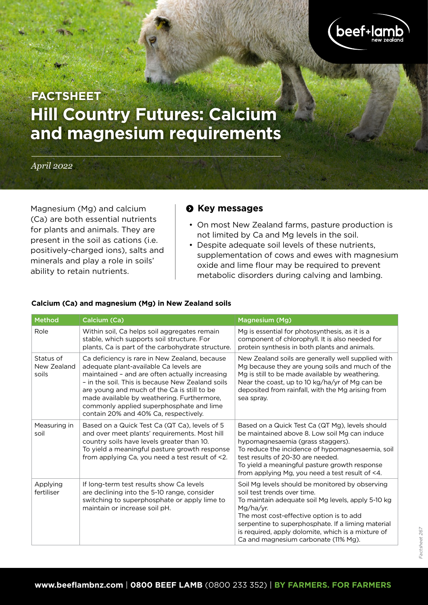

# **Hill Country Futures: Calcium and magnesium requirements FACTSHEET**

#### *April 2022*

Magnesium (Mg) and calcium (Ca) are both essential nutrients for plants and animals. They are present in the soil as cations (i.e. positively-charged ions), salts and minerals and play a role in soils' ability to retain nutrients.

## **Q** Key messages

- On most New Zealand farms, pasture production is not limited by Ca and Mg levels in the soil.
- Despite adequate soil levels of these nutrients, supplementation of cows and ewes with magnesium oxide and lime flour may be required to prevent metabolic disorders during calving and lambing.

| Method                            | Calcium (Ca)                                                                                                                                                                                                                                                                                                                                                                    | <b>Magnesium (Mg)</b>                                                                                                                                                                                                                                                                                                                             |
|-----------------------------------|---------------------------------------------------------------------------------------------------------------------------------------------------------------------------------------------------------------------------------------------------------------------------------------------------------------------------------------------------------------------------------|---------------------------------------------------------------------------------------------------------------------------------------------------------------------------------------------------------------------------------------------------------------------------------------------------------------------------------------------------|
| Role                              | Within soil, Ca helps soil aggregates remain<br>stable, which supports soil structure. For<br>plants, Ca is part of the carbohydrate structure.                                                                                                                                                                                                                                 | Mg is essential for photosynthesis, as it is a<br>component of chlorophyll. It is also needed for<br>protein synthesis in both plants and animals.                                                                                                                                                                                                |
| Status of<br>New Zealand<br>soils | Ca deficiency is rare in New Zealand, because<br>adequate plant-available Ca levels are<br>maintained - and are often actually increasing<br>- in the soil. This is because New Zealand soils<br>are young and much of the Ca is still to be<br>made available by weathering. Furthermore,<br>commonly applied superphosphate and lime<br>contain 20% and 40% Ca, respectively. | New Zealand soils are generally well supplied with<br>Mg because they are young soils and much of the<br>Mg is still to be made available by weathering.<br>Near the coast, up to 10 kg/ha/yr of Mg can be<br>deposited from rainfall, with the Mg arising from<br>sea spray.                                                                     |
| Measuring in<br>soil              | Based on a Quick Test Ca (QT Ca), levels of 5<br>and over meet plants' requirements. Most hill<br>country soils have levels greater than 10.<br>To yield a meaningful pasture growth response<br>from applying Ca, you need a test result of <2.                                                                                                                                | Based on a Quick Test Ca (QT Mg), levels should<br>be maintained above 8. Low soil Mg can induce<br>hypomagnesaemia (grass staggers).<br>To reduce the incidence of hypomagnesaemia, soil<br>test results of 20-30 are needed.<br>To yield a meaningful pasture growth response<br>from applying Mg, you need a test result of <4.                |
| Applying<br>fertiliser            | If long-term test results show Ca levels<br>are declining into the 5-10 range, consider<br>switching to superphosphate or apply lime to<br>maintain or increase soil pH.                                                                                                                                                                                                        | Soil Mg levels should be monitored by observing<br>soil test trends over time.<br>To maintain adequate soil Mg levels, apply 5-10 kg<br>Mg/ha/yr.<br>The most cost-effective option is to add<br>serpentine to superphosphate. If a liming material<br>is required, apply dolomite, which is a mixture of<br>Ca and magnesium carbonate (11% Mg). |

#### **Calcium (Ca) and magnesium (Mg) in New Zealand soils**